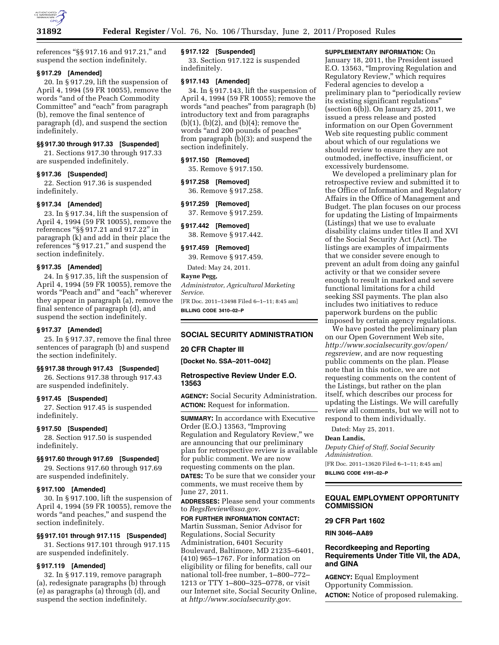

references ''§§ 917.16 and 917.21,'' and suspend the section indefinitely.

## **§ 917.29 [Amended]**

20. In § 917.29, lift the suspension of April 4, 1994 (59 FR 10055), remove the words ''and of the Peach Commodity Committee" and "each" from paragraph (b), remove the final sentence of paragraph (d), and suspend the section indefinitely.

## **§§ 917.30 through 917.33 [Suspended]**

21. Sections 917.30 through 917.33 are suspended indefinitely.

# **§ 917.36 [Suspended]**

22. Section 917.36 is suspended indefinitely.

# **§ 917.34 [Amended]**

23. In § 917.34, lift the suspension of April 4, 1994 (59 FR 10055), remove the references ''§§ 917.21 and 917.22'' in paragraph (k) and add in their place the references "§ 917.21," and suspend the section indefinitely.

## **§ 917.35 [Amended]**

24. In § 917.35, lift the suspension of April 4, 1994 (59 FR 10055), remove the words ''Peach and'' and ''each'' wherever they appear in paragraph (a), remove the final sentence of paragraph (d), and suspend the section indefinitely.

## **§ 917.37 [Amended]**

25. In § 917.37, remove the final three sentences of paragraph (b) and suspend the section indefinitely.

#### **§§ 917.38 through 917.43 [Suspended]**

26. Sections 917.38 through 917.43 are suspended indefinitely.

### **§ 917.45 [Suspended]**

27. Section 917.45 is suspended indefinitely.

## **§ 917.50 [Suspended]**

28. Section 917.50 is suspended indefinitely.

#### **§§ 917.60 through 917.69 [Suspended]**

29. Sections 917.60 through 917.69 are suspended indefinitely.

### **§ 917.100 [Amended]**

30. In § 917.100, lift the suspension of April 4, 1994 (59 FR 10055), remove the words ''and peaches,'' and suspend the section indefinitely.

### **§§ 917.101 through 917.115 [Suspended]**

31. Sections 917.101 through 917.115 are suspended indefinitely.

# **§ 917.119 [Amended]**

32. In § 917.119, remove paragraph (a), redesignate paragraphs (b) through (e) as paragraphs (a) through (d), and suspend the section indefinitely.

## **§ 917.122 [Suspended]**

33. Section 917.122 is suspended indefinitely.

## **§ 917.143 [Amended]**

34. In § 917.143, lift the suspension of April 4, 1994 (59 FR 10055); remove the words "and peaches" from paragraph (b) introductory text and from paragraphs (b)(1), (b)(2), and (b)(4); remove the words ''and 200 pounds of peaches'' from paragraph (b)(3); and suspend the section indefinitely.

# **§ 917.150 [Removed]**

35. Remove § 917.150.

### **§ 917.258 [Removed]**

36. Remove § 917.258.

### **§ 917.259 [Removed]**

37. Remove § 917.259.

# **§ 917.442 [Removed]**  38. Remove § 917.442.

# **§ 917.459 [Removed]**

39. Remove § 917.459.

Dated: May 24, 2011.

**Rayne Pegg,**  *Administrator, Agricultural Marketing Service.* 

[FR Doc. 2011–13498 Filed 6–1–11; 8:45 am] **BILLING CODE 3410–02–P** 

# **SOCIAL SECURITY ADMINISTRATION**

### **20 CFR Chapter III**

**[Docket No. SSA–2011–0042]** 

## **Retrospective Review Under E.O. 13563**

**AGENCY:** Social Security Administration. **ACTION:** Request for information.

**SUMMARY:** In accordance with Executive Order (E.O.) 13563, ''Improving Regulation and Regulatory Review,'' we are announcing that our preliminary plan for retrospective review is available for public comment. We are now requesting comments on the plan. **DATES:** To be sure that we consider your comments, we must receive them by June 27, 2011.

**ADDRESSES:** Please send your comments to *[RegsReview@ssa.gov](mailto:RegsReview@ssa.gov)*.

**FOR FURTHER INFORMATION CONTACT:**  Martin Sussman, Senior Advisor for Regulations, Social Security Administration, 6401 Security Boulevard, Baltimore, MD 21235–6401, (410) 965–1767. For information on eligibility or filing for benefits, call our national toll-free number, 1–800–772– 1213 or TTY 1–800–325–0778, or visit our Internet site, Social Security Online, at *<http://www.socialsecurity.gov>*.

### **SUPPLEMENTARY INFORMATION:** On

January 18, 2011, the President issued E.O. 13563, ''Improving Regulation and Regulatory Review,'' which requires Federal agencies to develop a preliminary plan to "periodically review its existing significant regulations'' (section 6(b)). On January 25, 2011, we issued a press release and posted information on our Open Government Web site requesting public comment about which of our regulations we should review to ensure they are not outmoded, ineffective, insufficient, or excessively burdensome.

We developed a preliminary plan for retrospective review and submitted it to the Office of Information and Regulatory Affairs in the Office of Management and Budget. The plan focuses on our process for updating the Listing of Impairments (Listings) that we use to evaluate disability claims under titles II and XVI of the Social Security Act (Act). The listings are examples of impairments that we consider severe enough to prevent an adult from doing any gainful activity or that we consider severe enough to result in marked and severe functional limitations for a child seeking SSI payments. The plan also includes two initiatives to reduce paperwork burdens on the public imposed by certain agency regulations.

We have posted the preliminary plan on our Open Government Web site, *[http://www.socialsecurity.gov/open/](http://www.socialsecurity.gov/open/regsreview) [regsreview](http://www.socialsecurity.gov/open/regsreview)*, and are now requesting public comments on the plan. Please note that in this notice, we are not requesting comments on the content of the Listings, but rather on the plan itself, which describes our process for updating the Listings. We will carefully review all comments, but we will not to respond to them individually.

Dated: May 25, 2011.

# **Dean Landis,**

*Deputy Chief of Staff, Social Security Administration.* 

[FR Doc. 2011–13620 Filed 6–1–11; 8:45 am] **BILLING CODE 4191–02–P** 

# **EQUAL EMPLOYMENT OPPORTUNITY COMMISSION**

### **29 CFR Part 1602**

**RIN 3046–AA89** 

# **Recordkeeping and Reporting Requirements Under Title VII, the ADA, and GINA**

**AGENCY:** Equal Employment Opportunity Commission. **ACTION:** Notice of proposed rulemaking.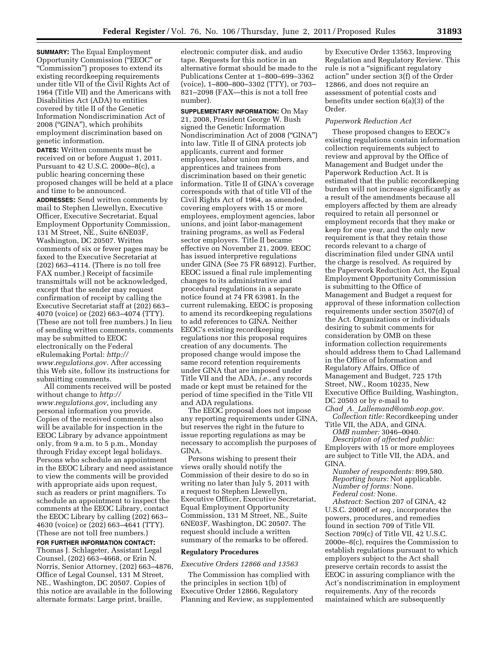**SUMMARY:** The Equal Employment Opportunity Commission (''EEOC'' or ''Commission'') proposes to extend its existing recordkeeping requirements under title VII of the Civil Rights Act of 1964 (Title VII) and the Americans with Disabilities Act (ADA) to entities covered by title II of the Genetic Information Nondiscrimination Act of 2008 (''GINA''), which prohibits employment discrimination based on genetic information.

**DATES:** Written comments must be received on or before August 1, 2011. Pursuant to 42 U.S.C. 2000e–8(c), a public hearing concerning these proposed changes will be held at a place and time to be announced. **ADDRESSES:** Send written comments by mail to Stephen Llewellyn, Executive Officer, Executive Secretariat, Equal Employment Opportunity Commission, 131 M Street, NE., Suite 6NE03F, Washington, DC 20507. Written comments of six or fewer pages may be faxed to the Executive Secretariat at (202) 663–4114. (There is no toll free FAX number.) Receipt of facsimile transmittals will not be acknowledged, except that the sender may request confirmation of receipt by calling the Executive Secretariat staff at (202) 663– 4070 (voice) or (202) 663–4074 (TTY). (These are not toll free numbers.) In lieu of sending written comments, comments may be submitted to EEOC electronically on the Federal eRulemaking Portal: *[http://](http://www.regulations.gov) [www.regulations.gov.](http://www.regulations.gov)* After accessing this Web site, follow its instructions for submitting comments.

All comments received will be posted without change to *[http://](http://www.regulations.gov) [www.regulations.gov,](http://www.regulations.gov)* including any personal information you provide. Copies of the received comments also will be available for inspection in the EEOC Library by advance appointment only, from 9 a.m. to 5 p.m., Monday through Friday except legal holidays. Persons who schedule an appointment in the EEOC Library and need assistance to view the comments will be provided with appropriate aids upon request, such as readers or print magnifiers. To schedule an appointment to inspect the comments at the EEOC Library, contact the EEOC Library by calling (202) 663– 4630 (voice) or (202) 663–4641 (TTY). (These are not toll free numbers.)

**FOR FURTHER INFORMATION CONTACT:**  Thomas J. Schlageter, Assistant Legal Counsel, (202) 663–4668, or Erin N. Norris, Senior Attorney, (202) 663–4876, Office of Legal Counsel, 131 M Street, NE., Washington, DC 20507. Copies of

this notice are available in the following alternate formats: Large print, braille,

electronic computer disk, and audio tape. Requests for this notice in an alternative format should be made to the Publications Center at 1–800–699–3362 (voice), 1–800–800–3302 (TTY), or 703– 821–2098 (FAX—this is not a toll free number).

**SUPPLEMENTARY INFORMATION:** On May 21, 2008, President George W. Bush signed the Genetic Information Nondiscrimination Act of 2008 (''GINA'') into law. Title II of GINA protects job applicants, current and former employees, labor union members, and apprentices and trainees from discrimination based on their genetic information. Title II of GINA's coverage corresponds with that of title VII of the Civil Rights Act of 1964, as amended, covering employers with 15 or more employees, employment agencies, labor unions, and joint labor-management training programs, as well as Federal sector employers. Title II became effective on November 21, 2009. EEOC has issued interpretive regulations under GINA (See 75 FR 68912). Further, EEOC issued a final rule implementing changes to its administrative and procedural regulations in a separate notice found at 74 FR 63981. In the current rulemaking, EEOC is proposing to amend its recordkeeping regulations to add references to GINA. Neither EEOC's existing recordkeeping regulations nor this proposal requires creation of any documents. The proposed change would impose the same record retention requirements under GINA that are imposed under Title VII and the ADA, *i.e.,* any records made or kept must be retained for the period of time specified in the Title VII and ADA regulations.

The EEOC proposal does not impose any reporting requirements under GINA, but reserves the right in the future to issue reporting regulations as may be necessary to accomplish the purposes of GINA.

Persons wishing to present their views orally should notify the Commission of their desire to do so in writing no later than July 5, 2011 with a request to Stephen Llewellyn, Executive Officer, Executive Secretariat, Equal Employment Opportunity Commission, 131 M Street, NE., Suite 6NE03F, Washington, DC 20507. The request should include a written summary of the remarks to be offered.

## **Regulatory Procedures**

*Executive Orders 12866 and 13563* 

The Commission has complied with the principles in section 1(b) of Executive Order 12866, Regulatory Planning and Review, as supplemented

by Executive Order 13563, Improving Regulation and Regulatory Review. This rule is not a "significant regulatory action'' under section 3(f) of the Order 12866, and does not require an assessment of potential costs and benefits under section 6(a)(3) of the Order.

### *Paperwork Reduction Act*

These proposed changes to EEOC's existing regulations contain information collection requirements subject to review and approval by the Office of Management and Budget under the Paperwork Reduction Act. It is estimated that the public recordkeeping burden will not increase significantly as a result of the amendments because all employers affected by them are already required to retain all personnel or employment records that they make or keep for one year, and the only new requirement is that they retain those records relevant to a charge of discrimination filed under GINA until the charge is resolved. As required by the Paperwork Reduction Act, the Equal Employment Opportunity Commission is submitting to the Office of Management and Budget a request for approval of these information collection requirements under section 3507(d) of the Act. Organizations or individuals desiring to submit comments for consideration by OMB on these information collection requirements should address them to Chad Lallemand in the Office of Information and Regulatory Affairs, Office of Management and Budget, 725 17th Street, NW., Room 10235, New Executive Office Building, Washington, DC 20503 or by e-mail to *Chad*\_*A.*\_*[Lallemand@omb.eop.gov.](mailto:Chad_A._Lallemand@omb.eop.gov)* 

*Collection title:* Recordkeeping under Title VII, the ADA, and GINA.

*OMB number:* 3046–0040. *Description of affected public:*  Employers with 15 or more employees are subject to Title VII, the ADA, and GINA.

*Number of respondents:* 899,580. *Reporting hours:* Not applicable. *Number of forms:* None. *Federal cost:* None.

*Abstract:* Section 207 of GINA, 42 U.S.C. 2000ff *et seq.,* incorporates the powers, procedures, and remedies found in section 709 of Title VII. Section 709(c) of Title VII, 42 U.S.C. 2000e–8(c), requires the Commission to establish regulations pursuant to which employers subject to the Act shall preserve certain records to assist the EEOC in assuring compliance with the Act's nondiscrimination in employment requirements. Any of the records maintained which are subsequently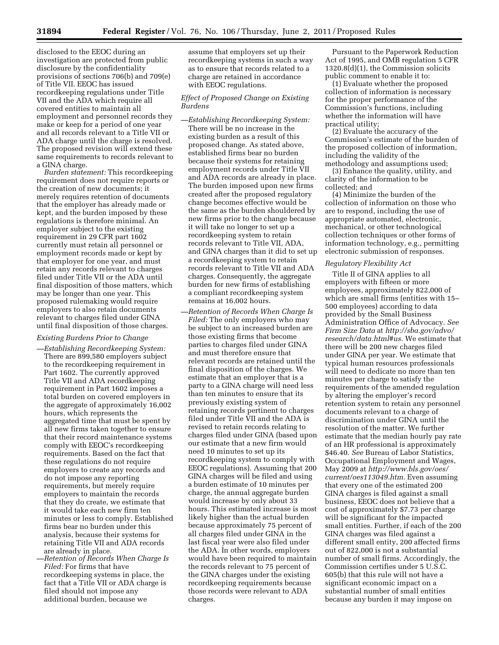disclosed to the EEOC during an investigation are protected from public disclosure by the confidentiality provisions of sections 706(b) and 709(e) of Title VII. EEOC has issued recordkeeping regulations under Title VII and the ADA which require all covered entities to maintain all employment and personnel records they make or keep for a period of one year and all records relevant to a Title VII or ADA charge until the charge is resolved. The proposed revision will extend these same requirements to records relevant to a GINA charge.

*Burden statement:* This recordkeeping requirement does not require reports or the creation of new documents; it merely requires retention of documents that the employer has already made or kept, and the burden imposed by these regulations is therefore minimal. An employer subject to the existing requirement in 29 CFR part 1602 currently must retain all personnel or employment records made or kept by that employer for one year, and must retain any records relevant to charges filed under Title VII or the ADA until final disposition of those matters, which may be longer than one year. This proposed rulemaking would require employers to also retain documents relevant to charges filed under GINA until final disposition of those charges.

### *Existing Burdens Prior to Change*

- *—Establishing Recordkeeping System:*  There are 899,580 employers subject to the recordkeeping requirement in Part 1602. The currently approved Title VII and ADA recordkeeping requirement in Part 1602 imposes a total burden on covered employers in the aggregate of approximately 16,002 hours, which represents the aggregated time that must be spent by all new firms taken together to ensure that their record maintenance systems comply with EEOC's recordkeeping requirements. Based on the fact that these regulations do not require employers to create any records and do not impose any reporting requirements, but merely require employers to maintain the records that they do create, we estimate that it would take each new firm ten minutes or less to comply. Established firms bear no burden under this analysis, because their systems for retaining Title VII and ADA records are already in place.
- *—Retention of Records When Charge Is Filed:* For firms that have recordkeeping systems in place, the fact that a Title VII or ADA charge is filed should not impose any additional burden, because we

assume that employers set up their recordkeeping systems in such a way as to ensure that records related to a charge are retained in accordance with EEOC regulations.

# *Effect of Proposed Change on Existing Burdens*

- *—Establishing Recordkeeping System:*  There will be no increase in the existing burden as a result of this proposed change. As stated above, established firms bear no burden because their systems for retaining employment records under Title VII and ADA records are already in place. The burden imposed upon new firms created after the proposed regulatory change becomes effective would be the same as the burden shouldered by new firms prior to the change because it will take no longer to set up a recordkeeping system to retain records relevant to Title VII, ADA, and GINA charges than it did to set up a recordkeeping system to retain records relevant to Title VII and ADA charges. Consequently, the aggregate burden for new firms of establishing a compliant recordkeeping system remains at 16,002 hours.
- *—Retention of Records When Charge Is Filed:* The only employers who may be subject to an increased burden are those existing firms that become parties to charges filed under GINA and must therefore ensure that relevant records are retained until the final disposition of the charges. We estimate that an employer that is a party to a GINA charge will need less than ten minutes to ensure that its previously existing system of retaining records pertinent to charges filed under Title VII and the ADA is revised to retain records relating to charges filed under GINA (based upon our estimate that a new firm would need 10 minutes to set up its recordkeeping system to comply with EEOC regulations). Assuming that 200 GINA charges will be filed and using a burden estimate of 10 minutes per charge, the annual aggregate burden would increase by only about 33 hours. This estimated increase is most likely higher than the actual burden because approximately 75 percent of all charges filed under GINA in the last fiscal year were also filed under the ADA. In other words, employers would have been required to maintain the records relevant to 75 percent of the GINA charges under the existing recordkeeping requirements because those records were relevant to ADA charges.

Pursuant to the Paperwork Reduction Act of 1995, and OMB regulation 5 CFR 1320.8(d)(1), the Commission solicits public comment to enable it to:

(1) Evaluate whether the proposed collection of information is necessary for the proper performance of the Commission's functions, including whether the information will have practical utility;

(2) Evaluate the accuracy of the Commission's estimate of the burden of the proposed collection of information, including the validity of the methodology and assumptions used;

(3) Enhance the quality, utility, and clarity of the information to be collected; and

(4) Minimize the burden of the collection of information on those who are to respond, including the use of appropriate automated, electronic, mechanical, or other technological collection techniques or other forms of information technology, e.g., permitting electronic submission of responses.

### *Regulatory Flexibility Act*

Title II of GINA applies to all employers with fifteen or more employees, approximately 822,000 of which are small firms (entities with 15– 500 employees) according to data provided by the Small Business Administration Office of Advocacy. *See Firm Size Data* at *[http://sba.gov/advo/](http://sba.gov/advo/research/data.html#us) [research/data.html#us.](http://sba.gov/advo/research/data.html#us)* We estimate that there will be 200 new charges filed under GINA per year. We estimate that typical human resources professionals will need to dedicate no more than ten minutes per charge to satisfy the requirements of the amended regulation by altering the employer's record retention system to retain any personnel documents relevant to a charge of discrimination under GINA until the resolution of the matter. We further estimate that the median hourly pay rate of an HR professional is approximately \$46.40. *See* Bureau of Labor Statistics, Occupational Employment and Wages, May 2009 at *[http://www.bls.gov/oes/](http://www.bls.gov/oes/current/oes113049.htm) [current/oes113049.htm.](http://www.bls.gov/oes/current/oes113049.htm)* Even assuming that every one of the estimated 200 GINA charges is filed against a small business, EEOC does not believe that a cost of approximately \$7.73 per charge will be significant for the impacted small entities. Further, if each of the 200 GINA charges was filed against a different small entity, 200 affected firms out of 822,000 is not a substantial number of small firms. Accordingly, the Commission certifies under 5 U.S.C. 605(b) that this rule will not have a significant economic impact on a substantial number of small entities because any burden it may impose on